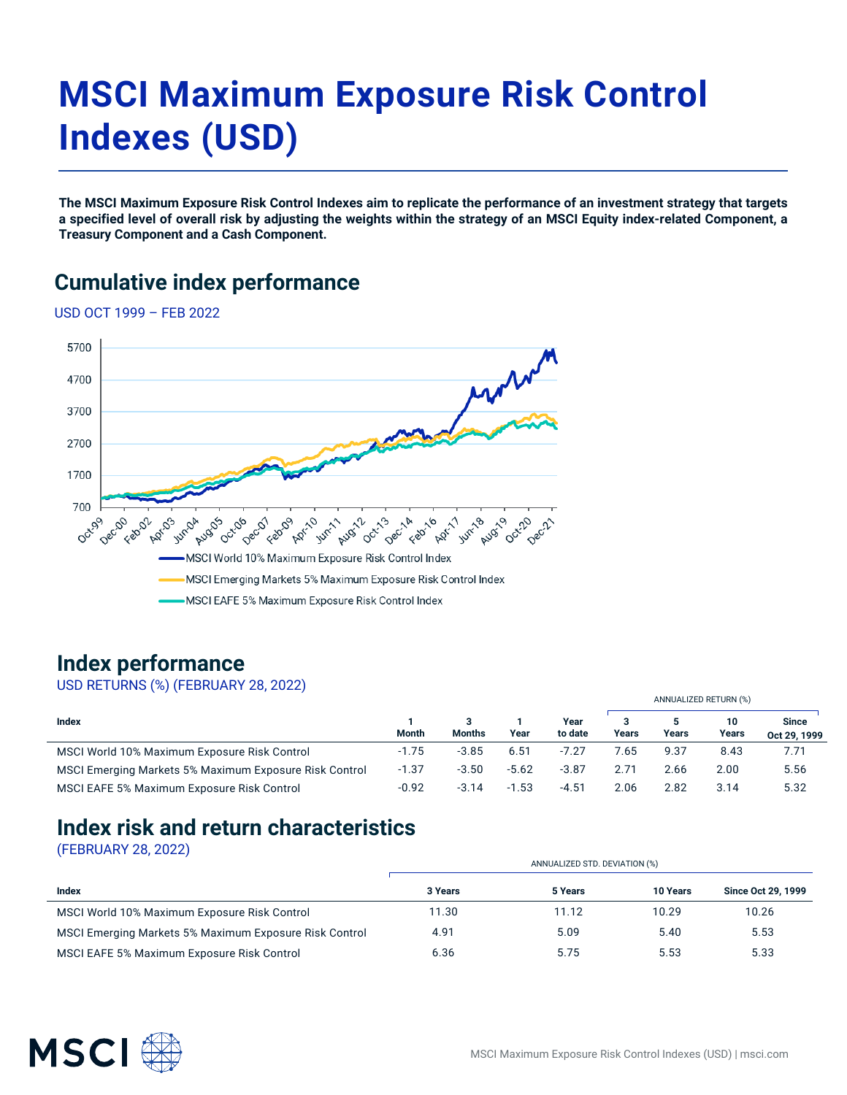# **MSCI Maximum Exposure Risk Control Indexes (USD)**

**The MSCI Maximum Exposure Risk Control Indexes aim to replicate the performance of an investment strategy that targets a specified level of overall risk by adjusting the weights within the strategy of an MSCI Equity index-related Component, a Treasury Component and a Cash Component.**

#### **Cumulative index performance**

USD OCT 1999 – FEB 2022



#### **Index performance**

USD RETURNS (%) (FEBRUARY 28, 2022)

|                                                        |         |               |         |                 | ANNUALIZED RETURN (%) |       |             |                              |
|--------------------------------------------------------|---------|---------------|---------|-----------------|-----------------------|-------|-------------|------------------------------|
| Index                                                  | Month   | <b>Months</b> | Year    | Year<br>to date | Years                 | Years | 10<br>Years | <b>Since</b><br>Oct 29, 1999 |
| MSCI World 10% Maximum Exposure Risk Control           | $-1.75$ | $-3.85$       | 6.51    | $-7.27$         | '.65                  | 9.37  | 8.43        | 7.71                         |
| MSCI Emerging Markets 5% Maximum Exposure Risk Control | $-1.37$ | $-3.50$       | $-5.62$ | $-3.87$         | 2.71                  | 2.66  | 2.00        | 5.56                         |
| MSCI EAFE 5% Maximum Exposure Risk Control             | $-0.92$ | $-3.14$       | $-1.53$ | $-4.51$         | 2.06                  | 2.82  | 3.14        | 5.32                         |

#### **Index risk and return characteristics**

(FEBRUARY 28, 2022)

|                                                        | ANNUALIZED STD. DEVIATION (%) |         |          |                    |  |  |  |
|--------------------------------------------------------|-------------------------------|---------|----------|--------------------|--|--|--|
| Index                                                  | 3 Years                       | 5 Years | 10 Years | Since Oct 29, 1999 |  |  |  |
| MSCI World 10% Maximum Exposure Risk Control           | 11.30                         | 11.12   | 10.29    | 10.26              |  |  |  |
| MSCI Emerging Markets 5% Maximum Exposure Risk Control | 4.91                          | 5.09    | 5.40     | 5.53               |  |  |  |
| MSCI EAFE 5% Maximum Exposure Risk Control             | 6.36                          | 5.75    | 5.53     | 5.33               |  |  |  |